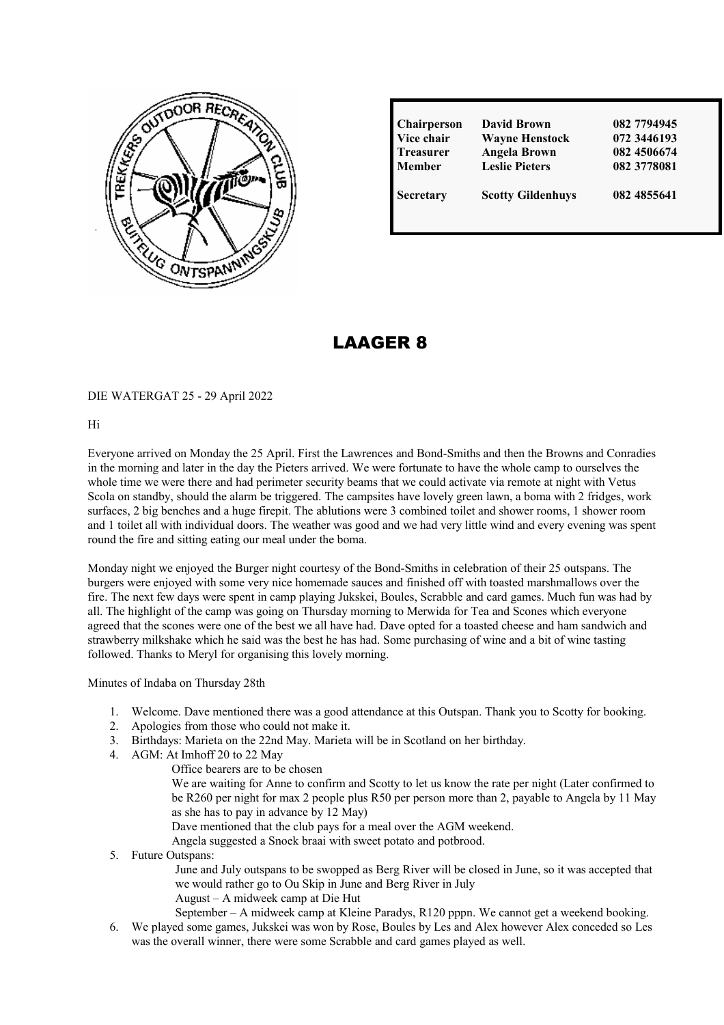

| Chairperson      | David Brown              | 082 7794945 |
|------------------|--------------------------|-------------|
| Vice chair       | <b>Wayne Henstock</b>    | 072 3446193 |
| <b>Treasurer</b> | <b>Angela Brown</b>      | 082 4506674 |
| <b>Member</b>    | <b>Leslie Pieters</b>    | 082 3778081 |
| <b>Secretary</b> | <b>Scotty Gildenhuys</b> | 082 4855641 |

# LAAGER 8

### DIE WATERGAT 25 - 29 April 2022

Hi

Everyone arrived on Monday the 25 April. First the Lawrences and Bond-Smiths and then the Browns and Conradies in the morning and later in the day the Pieters arrived. We were fortunate to have the whole camp to ourselves the whole time we were there and had perimeter security beams that we could activate via remote at night with Vetus Scola on standby, should the alarm be triggered. The campsites have lovely green lawn, a boma with 2 fridges, work surfaces, 2 big benches and a huge firepit. The ablutions were 3 combined toilet and shower rooms, 1 shower room and 1 toilet all with individual doors. The weather was good and we had very little wind and every evening was spent round the fire and sitting eating our meal under the boma.

Monday night we enjoyed the Burger night courtesy of the Bond-Smiths in celebration of their 25 outspans. The burgers were enjoyed with some very nice homemade sauces and finished off with toasted marshmallows over the fire. The next few days were spent in camp playing Jukskei, Boules, Scrabble and card games. Much fun was had by all. The highlight of the camp was going on Thursday morning to Merwida for Tea and Scones which everyone agreed that the scones were one of the best we all have had. Dave opted for a toasted cheese and ham sandwich and strawberry milkshake which he said was the best he has had. Some purchasing of wine and a bit of wine tasting followed. Thanks to Meryl for organising this lovely morning.

Minutes of Indaba on Thursday 28th

- 1. Welcome. Dave mentioned there was a good attendance at this Outspan. Thank you to Scotty for booking.
- 2. Apologies from those who could not make it.
- 3. Birthdays: Marieta on the 22nd May. Marieta will be in Scotland on her birthday.
- 4. AGM: At Imhoff 20 to 22 May
	- Office bearers are to be chosen
		- We are waiting for Anne to confirm and Scotty to let us know the rate per night (Later confirmed to be R260 per night for max 2 people plus R50 per person more than 2, payable to Angela by 11 May as she has to pay in advance by 12 May)
		- Dave mentioned that the club pays for a meal over the AGM weekend.
		- Angela suggested a Snoek braai with sweet potato and potbrood.
- 5. Future Outspans:

June and July outspans to be swopped as Berg River will be closed in June, so it was accepted that we would rather go to Ou Skip in June and Berg River in July

August – A midweek camp at Die Hut

September – A midweek camp at Kleine Paradys, R120 pppn. We cannot get a weekend booking.

6. We played some games, Jukskei was won by Rose, Boules by Les and Alex however Alex conceded so Les was the overall winner, there were some Scrabble and card games played as well.